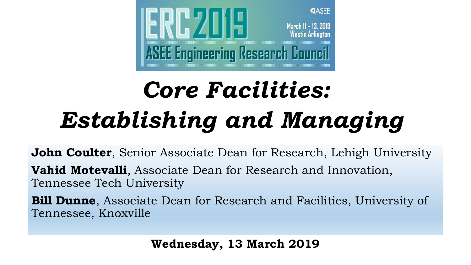

# *Core Facilities: Establishing and Managing*

**John Coulter**, Senior Associate Dean for Research, Lehigh University **Vahid Motevalli**, Associate Dean for Research and Innovation, Tennessee Tech University

**Bill Dunne**, Associate Dean for Research and Facilities, University of Tennessee, Knoxville

**Wednesday, 13 March 2019**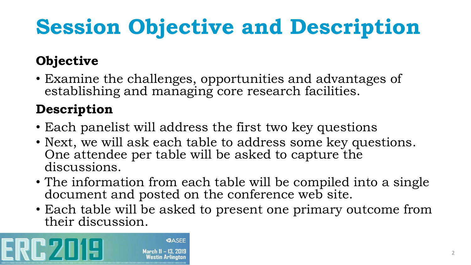# **Session Objective and Description**

### **Objective**

• Examine the challenges, opportunities and advantages of establishing and managing core research facilities.

#### **Description**

- Each panelist will address the first two key questions
- Next, we will ask each table to address some key questions. One attendee per table will be asked to capture the discussions.
- The information from each table will be compiled into a single document and posted on the conference web site.
- Each table will be asked to present one primary outcome from their discussion.

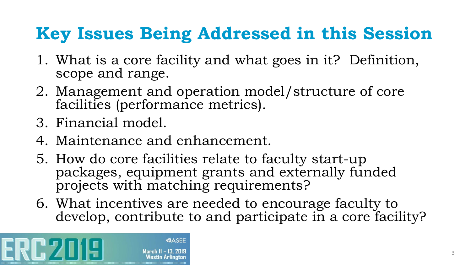### **Key Issues Being Addressed in this Session**

- 1. What is a core facility and what goes in it? Definition, scope and range.
- 2. Management and operation model/structure of core facilities (performance metrics).
- 3. Financial model.
- 4. Maintenance and enhancement.
- 5. How do core facilities relate to faculty start-up packages, equipment grants and externally funded projects with matching requirements?
- 6. What incentives are needed to encourage faculty to develop, contribute to and participate in a core facility?

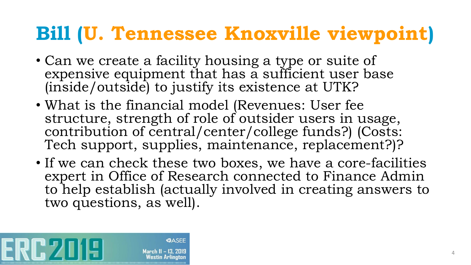## **Bill (U. Tennessee Knoxville viewpoint)**

- Can we create a facility housing a type or suite of expensive equipment that has a sufficient user base (inside/outside) to justify its existence at UTK?
- What is the financial model (Revenues: User fee structure, strength of role of outsider users in usage, contribution of central/center/college funds?) (Costs: Tech support, supplies, maintenance, replacement?)?
- If we can check these two boxes, we have a core-facilities expert in Office of Research connected to Finance Admin to help establish (actually involved in creating answers to two questions, as well).

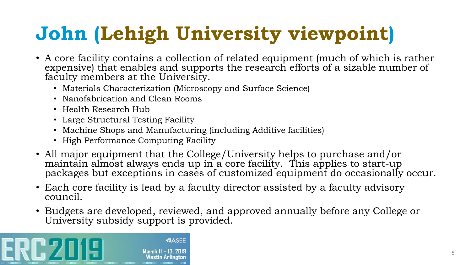# **John (Lehigh University viewpoint)**

- A core facility contains a collection of related equipment (much of which is rather expensive) that enables and supports the research efforts of a sizable number of faculty members at the University.
	- Materials Characterization (Microscopy and Surface Science)
	- Nanofabrication and Clean Rooms
	- Health Research Hub
	- Large Structural Testing Facility
	- Machine Shops and Manufacturing (including Additive facilities)
	- High Performance Computing Facility
- All major equipment that the College/University helps to purchase and/or maintain almost always ends up in a core facility. This applies to start-up packages but exceptions in cases of customized equipment do occasionally occur.
- Each core facility is lead by a faculty director assisted by a faculty advisory council.
- Budgets are developed, reviewed, and approved annually before any College or University subsidy support is provided.

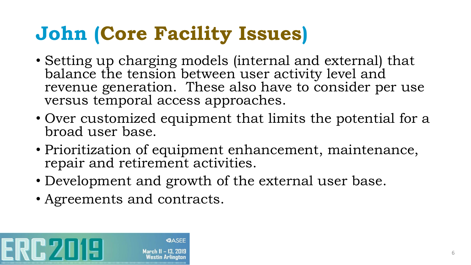# **John (Core Facility Issues)**

- Setting up charging models (internal and external) that balance the tension between user activity level and revenue generation. These also have to consider per use versus temporal access approaches.
- Over customized equipment that limits the potential for a broad user base.
- Prioritization of equipment enhancement, maintenance, repair and retirement activities.
- Development and growth of the external user base.
- Agreements and contracts.

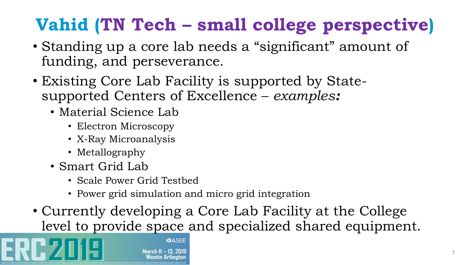## **Vahid (TN Tech – small college perspective)**

- Standing up a core lab needs a "significant" amount of funding, and perseverance.
- Existing Core Lab Facility is supported by Statesupported Centers of Excellence – *examples:*
	- Material Science Lab
		- Electron Microscopy
		- X-Ray Microanalysis
		- Metallography
	- Smart Grid Lab
		- Scale Power Grid Testbed
		- Power grid simulation and micro grid integration

**GASEE** 

March 11 - 13, 2019 Nestin Arlington

• Currently developing a Core Lab Facility at the College level to provide space and specialized shared equipment.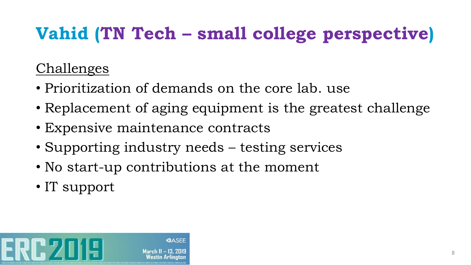### **Vahid (TN Tech – small college perspective)**

#### Challenges

- Prioritization of demands on the core lab. use
- Replacement of aging equipment is the greatest challenge
- Expensive maintenance contracts
- Supporting industry needs testing services
- No start-up contributions at the moment
- IT support